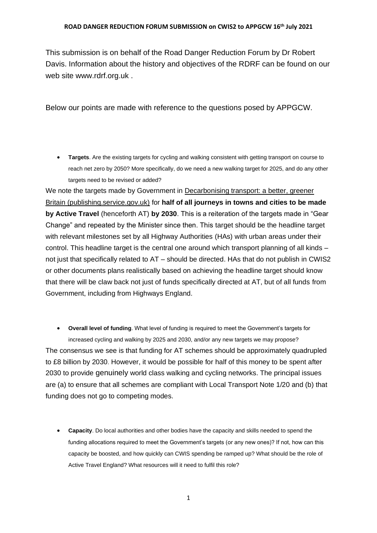This submission is on behalf of the Road Danger Reduction Forum by Dr Robert Davis. Information about the history and objectives of the RDRF can be found on our web site www.rdrf.org.uk .

Below our points are made with reference to the questions posed by APPGCW.

• **Targets**. Are the existing targets for cycling and walking consistent with getting transport on course to reach net zero by 2050? More specifically, do we need a new walking target for 2025, and do any other targets need to be revised or added?

We note the targets made by Government in Decarbonising transport: a better, greener [Britain \(publishing.service.gov.uk\)](https://assets.publishing.service.gov.uk/government/uploads/system/uploads/attachment_data/file/1002285/decarbonising-transport-a-better-greener-britain.pdf) for **half of all journeys in towns and cities to be made by Active Travel** (henceforth AT) **by 2030**. This is a reiteration of the targets made in "Gear Change" and repeated by the Minister since then. This target should be the headline target with relevant milestones set by all Highway Authorities (HAs) with urban areas under their control. This headline target is the central one around which transport planning of all kinds – not just that specifically related to AT – should be directed. HAs that do not publish in CWIS2 or other documents plans realistically based on achieving the headline target should know that there will be claw back not just of funds specifically directed at AT, but of all funds from Government, including from Highways England.

• **Overall level of funding**. What level of funding is required to meet the Government's targets for increased cycling and walking by 2025 and 2030, and/or any new targets we may propose?

The consensus we see is that funding for AT schemes should be approximately quadrupled to £8 billion by 2030. However, it would be possible for half of this money to be spent after 2030 to provide genuinely world class walking and cycling networks. The principal issues are (a) to ensure that all schemes are compliant with Local Transport Note 1/20 and (b) that funding does not go to competing modes.

• **Capacity**. Do local authorities and other bodies have the capacity and skills needed to spend the funding allocations required to meet the Government's targets (or any new ones)? If not, how can this capacity be boosted, and how quickly can CWIS spending be ramped up? What should be the role of Active Travel England? What resources will it need to fulfil this role?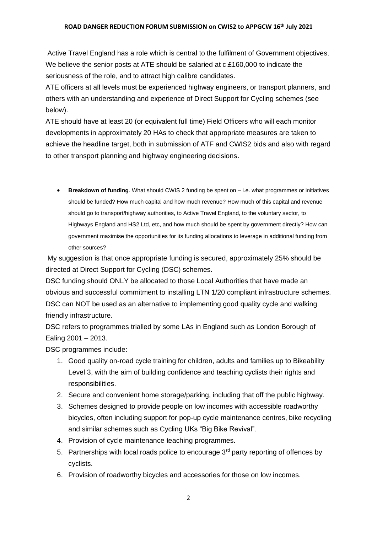Active Travel England has a role which is central to the fulfilment of Government objectives. We believe the senior posts at ATE should be salaried at c.£160,000 to indicate the seriousness of the role, and to attract high calibre candidates.

ATE officers at all levels must be experienced highway engineers, or transport planners, and others with an understanding and experience of Direct Support for Cycling schemes (see below).

ATE should have at least 20 (or equivalent full time) Field Officers who will each monitor developments in approximately 20 HAs to check that appropriate measures are taken to achieve the headline target, both in submission of ATF and CWIS2 bids and also with regard to other transport planning and highway engineering decisions.

• **Breakdown of funding**. What should CWIS 2 funding be spent on – i.e. what programmes or initiatives should be funded? How much capital and how much revenue? How much of this capital and revenue should go to transport/highway authorities, to Active Travel England, to the voluntary sector, to Highways England and HS2 Ltd, etc, and how much should be spent by government directly? How can government maximise the opportunities for its funding allocations to leverage in additional funding from other sources?

My suggestion is that once appropriate funding is secured, approximately 25% should be directed at Direct Support for Cycling (DSC) schemes.

DSC funding should ONLY be allocated to those Local Authorities that have made an obvious and successful commitment to installing LTN 1/20 compliant infrastructure schemes. DSC can NOT be used as an alternative to implementing good quality cycle and walking friendly infrastructure.

DSC refers to programmes trialled by some LAs in England such as London Borough of Ealing 2001 – 2013.

DSC programmes include:

- 1. Good quality on-road cycle training for children, adults and families up to Bikeability Level 3, with the aim of building confidence and teaching cyclists their rights and responsibilities.
- 2. Secure and convenient home storage/parking, including that off the public highway.
- 3. Schemes designed to provide people on low incomes with accessible roadworthy bicycles, often including support for pop-up cycle maintenance centres, bike recycling and similar schemes such as Cycling UKs "Big Bike Revival".
- 4. Provision of cycle maintenance teaching programmes.
- 5. Partnerships with local roads police to encourage  $3<sup>rd</sup>$  party reporting of offences by cyclists.
- 6. Provision of roadworthy bicycles and accessories for those on low incomes.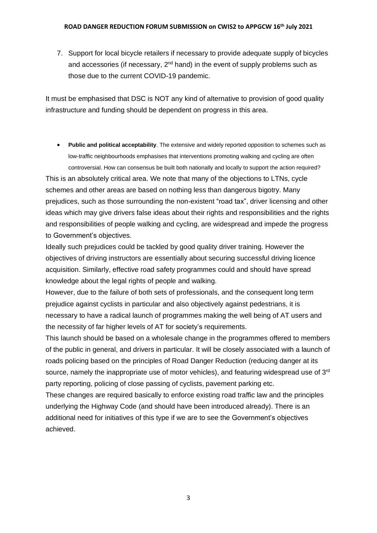7. Support for local bicycle retailers if necessary to provide adequate supply of bicycles and accessories (if necessary,  $2^{nd}$  hand) in the event of supply problems such as those due to the current COVID-19 pandemic.

It must be emphasised that DSC is NOT any kind of alternative to provision of good quality infrastructure and funding should be dependent on progress in this area.

• **Public and political acceptability**. The extensive and widely reported opposition to schemes such as low-traffic neighbourhoods emphasises that interventions promoting walking and cycling are often controversial. How can consensus be built both nationally and locally to support the action required? This is an absolutely critical area. We note that many of the objections to LTNs, cycle schemes and other areas are based on nothing less than dangerous bigotry. Many prejudices, such as those surrounding the non-existent "road tax", driver licensing and other ideas which may give drivers false ideas about their rights and responsibilities and the rights

and responsibilities of people walking and cycling, are widespread and impede the progress to Government's objectives.

Ideally such prejudices could be tackled by good quality driver training. However the objectives of driving instructors are essentially about securing successful driving licence acquisition. Similarly, effective road safety programmes could and should have spread knowledge about the legal rights of people and walking.

However, due to the failure of both sets of professionals, and the consequent long term prejudice against cyclists in particular and also objectively against pedestrians, it is necessary to have a radical launch of programmes making the well being of AT users and the necessity of far higher levels of AT for society's requirements.

This launch should be based on a wholesale change in the programmes offered to members of the public in general, and drivers in particular. It will be closely associated with a launch of roads policing based on the principles of Road Danger Reduction (reducing danger at its source, namely the inappropriate use of motor vehicles), and featuring widespread use of 3<sup>rd</sup> party reporting, policing of close passing of cyclists, pavement parking etc.

These changes are required basically to enforce existing road traffic law and the principles underlying the Highway Code (and should have been introduced already). There is an additional need for initiatives of this type if we are to see the Government's objectives achieved.